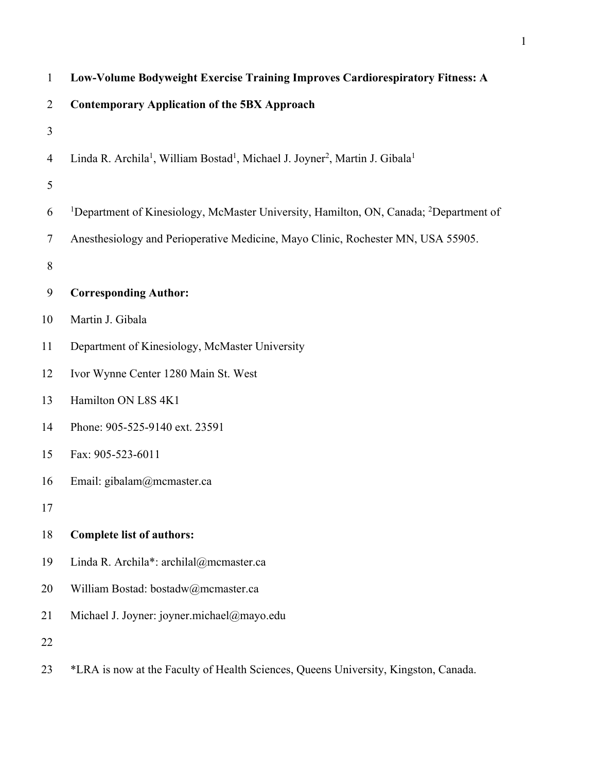| $\mathbf{1}$   | Low-Volume Bodyweight Exercise Training Improves Cardiorespiratory Fitness: A                                                |
|----------------|------------------------------------------------------------------------------------------------------------------------------|
| $\overline{2}$ | <b>Contemporary Application of the 5BX Approach</b>                                                                          |
| 3              |                                                                                                                              |
| 4              | Linda R. Archila <sup>1</sup> , William Bostad <sup>1</sup> , Michael J. Joyner <sup>2</sup> , Martin J. Gibala <sup>1</sup> |
| 5              |                                                                                                                              |
| 6              | <sup>1</sup> Department of Kinesiology, McMaster University, Hamilton, ON, Canada; <sup>2</sup> Department of                |
| 7              | Anesthesiology and Perioperative Medicine, Mayo Clinic, Rochester MN, USA 55905.                                             |
| 8              |                                                                                                                              |
| 9              | <b>Corresponding Author:</b>                                                                                                 |
| 10             | Martin J. Gibala                                                                                                             |
| 11             | Department of Kinesiology, McMaster University                                                                               |
| 12             | Ivor Wynne Center 1280 Main St. West                                                                                         |
| 13             | Hamilton ON L8S 4K1                                                                                                          |
| 14             | Phone: 905-525-9140 ext. 23591                                                                                               |
| 15             | Fax: 905-523-6011                                                                                                            |
| 16             | Email: gibalam@mcmaster.ca                                                                                                   |
| 17             |                                                                                                                              |
| 18             | <b>Complete list of authors:</b>                                                                                             |
| 19             | Linda R. Archila*: archilal@mcmaster.ca                                                                                      |
| 20             | William Bostad: bostadw@mcmaster.ca                                                                                          |
| 21             | Michael J. Joyner: joyner.michael@mayo.edu                                                                                   |
| 22             |                                                                                                                              |
| 23             | *LRA is now at the Faculty of Health Sciences, Queens University, Kingston, Canada.                                          |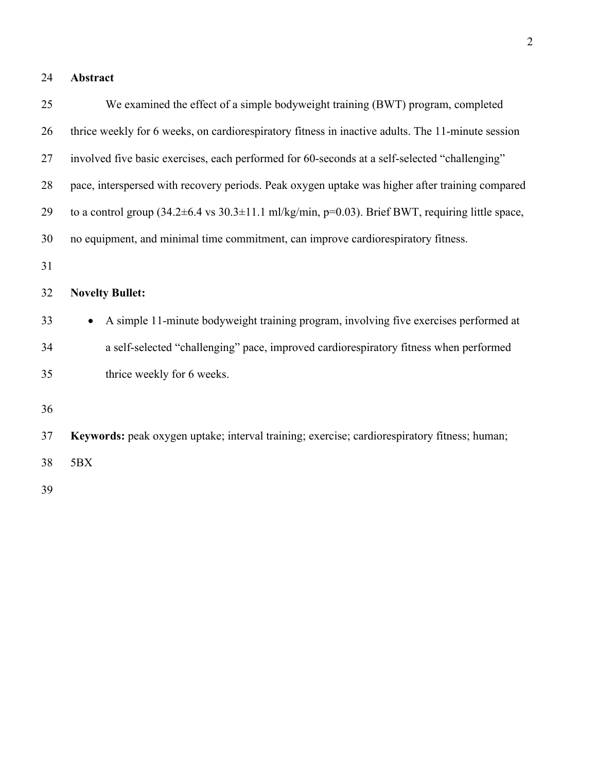# **Abstract**

| 25 | We examined the effect of a simple bodyweight training (BWT) program, completed                   |
|----|---------------------------------------------------------------------------------------------------|
| 26 | thrice weekly for 6 weeks, on cardiorespiratory fitness in inactive adults. The 11-minute session |
| 27 | involved five basic exercises, each performed for 60-seconds at a self-selected "challenging"     |
| 28 | pace, interspersed with recovery periods. Peak oxygen uptake was higher after training compared   |
| 29 | to a control group (34.2±6.4 vs 30.3±11.1 ml/kg/min, p=0.03). Brief BWT, requiring little space,  |
| 30 | no equipment, and minimal time commitment, can improve cardiorespiratory fitness.                 |
| 31 |                                                                                                   |
| 32 | <b>Novelty Bullet:</b>                                                                            |
| 33 | A simple 11-minute bodyweight training program, involving five exercises performed at             |
| 34 | a self-selected "challenging" pace, improved cardiorespiratory fitness when performed             |
| 35 | thrice weekly for 6 weeks.                                                                        |
| 36 |                                                                                                   |
| 37 | Keywords: peak oxygen uptake; interval training; exercise; cardiorespiratory fitness; human;      |
| 38 | 5BX                                                                                               |
| 39 |                                                                                                   |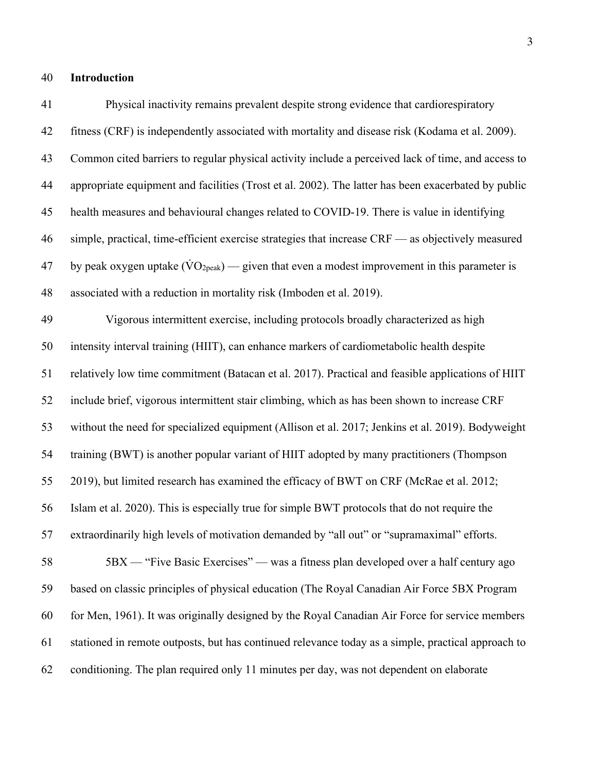### **Introduction**

 Physical inactivity remains prevalent despite strong evidence that cardiorespiratory fitness (CRF) is independently associated with mortality and disease risk (Kodama et al. 2009). Common cited barriers to regular physical activity include a perceived lack of time, and access to appropriate equipment and facilities (Trost et al. 2002). The latter has been exacerbated by public health measures and behavioural changes related to COVID-19. There is value in identifying simple, practical, time-efficient exercise strategies that increase CRF — as objectively measured 47 by peak oxygen uptake  $(\text{VO}_{2\text{peak}})$  — given that even a modest improvement in this parameter is associated with a reduction in mortality risk (Imboden et al. 2019). Vigorous intermittent exercise, including protocols broadly characterized as high intensity interval training (HIIT), can enhance markers of cardiometabolic health despite relatively low time commitment (Batacan et al. 2017). Practical and feasible applications of HIIT include brief, vigorous intermittent stair climbing, which as has been shown to increase CRF without the need for specialized equipment (Allison et al. 2017; Jenkins et al. 2019). Bodyweight training (BWT) is another popular variant of HIIT adopted by many practitioners (Thompson 2019), but limited research has examined the efficacy of BWT on CRF (McRae et al. 2012; Islam et al. 2020). This is especially true for simple BWT protocols that do not require the extraordinarily high levels of motivation demanded by "all out" or "supramaximal" efforts. 5BX — "Five Basic Exercises" — was a fitness plan developed over a half century ago based on classic principles of physical education (The Royal Canadian Air Force 5BX Program for Men, 1961). It was originally designed by the Royal Canadian Air Force for service members stationed in remote outposts, but has continued relevance today as a simple, practical approach to

conditioning. The plan required only 11 minutes per day, was not dependent on elaborate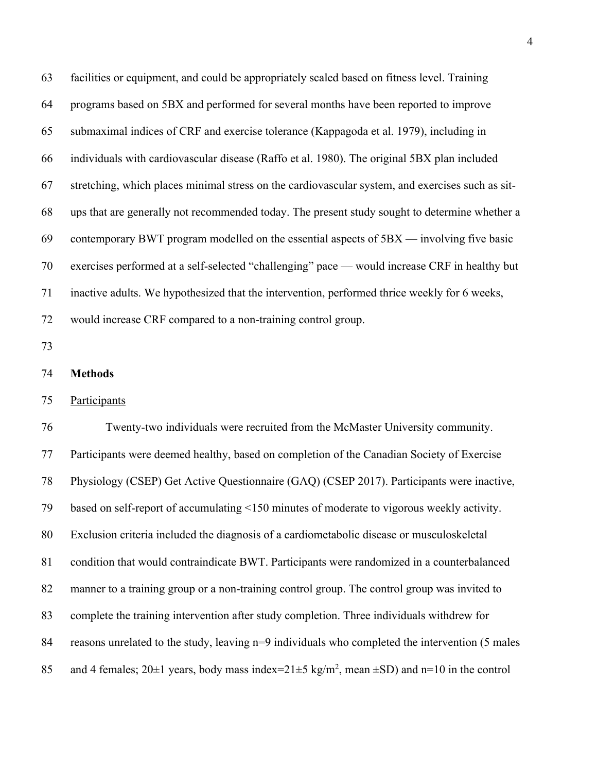facilities or equipment, and could be appropriately scaled based on fitness level. Training programs based on 5BX and performed for several months have been reported to improve submaximal indices of CRF and exercise tolerance (Kappagoda et al. 1979), including in individuals with cardiovascular disease (Raffo et al. 1980). The original 5BX plan included stretching, which places minimal stress on the cardiovascular system, and exercises such as sit- ups that are generally not recommended today. The present study sought to determine whether a contemporary BWT program modelled on the essential aspects of 5BX — involving five basic exercises performed at a self-selected "challenging" pace — would increase CRF in healthy but inactive adults. We hypothesized that the intervention, performed thrice weekly for 6 weeks, would increase CRF compared to a non-training control group.

- 
- **Methods**

### Participants

 Twenty-two individuals were recruited from the McMaster University community. Participants were deemed healthy, based on completion of the Canadian Society of Exercise Physiology (CSEP) Get Active Questionnaire (GAQ) (CSEP 2017). Participants were inactive, based on self-report of accumulating <150 minutes of moderate to vigorous weekly activity. Exclusion criteria included the diagnosis of a cardiometabolic disease or musculoskeletal condition that would contraindicate BWT. Participants were randomized in a counterbalanced manner to a training group or a non-training control group. The control group was invited to complete the training intervention after study completion. Three individuals withdrew for 84 reasons unrelated to the study, leaving n=9 individuals who completed the intervention (5 males 85 and 4 females;  $20\pm 1$  years, body mass index= $21\pm 5$  kg/m<sup>2</sup>, mean  $\pm$ SD) and n=10 in the control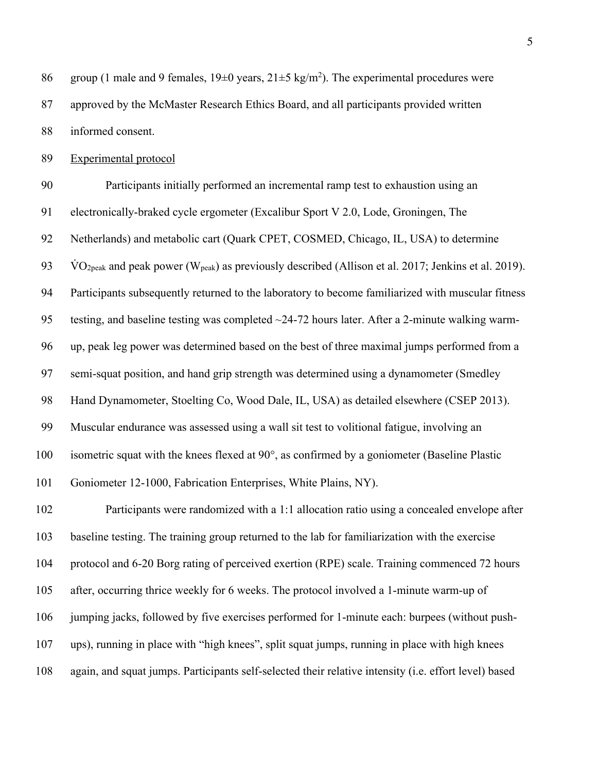86 group (1 male and 9 females,  $19\pm0$  years,  $21\pm5$  kg/m<sup>2</sup>). The experimental procedures were approved by the McMaster Research Ethics Board, and all participants provided written informed consent.

Experimental protocol

 Participants initially performed an incremental ramp test to exhaustion using an electronically-braked cycle ergometer (Excalibur Sport V 2.0, Lode, Groningen, The Netherlands) and metabolic cart (Quark CPET, COSMED, Chicago, IL, USA) to determine 93 VO<sub>2peak</sub> and peak power (W<sub>peak</sub>) as previously described (Allison et al. 2017; Jenkins et al. 2019). Participants subsequently returned to the laboratory to become familiarized with muscular fitness testing, and baseline testing was completed ~24-72 hours later. After a 2-minute walking warm- up, peak leg power was determined based on the best of three maximal jumps performed from a semi-squat position, and hand grip strength was determined using a dynamometer (Smedley Hand Dynamometer, Stoelting Co, Wood Dale, IL, USA) as detailed elsewhere (CSEP 2013). Muscular endurance was assessed using a wall sit test to volitional fatigue, involving an isometric squat with the knees flexed at 90°, as confirmed by a goniometer (Baseline Plastic Goniometer 12-1000, Fabrication Enterprises, White Plains, NY). Participants were randomized with a 1:1 allocation ratio using a concealed envelope after baseline testing. The training group returned to the lab for familiarization with the exercise protocol and 6-20 Borg rating of perceived exertion (RPE) scale. Training commenced 72 hours after, occurring thrice weekly for 6 weeks. The protocol involved a 1-minute warm-up of jumping jacks, followed by five exercises performed for 1-minute each: burpees (without push-ups), running in place with "high knees", split squat jumps, running in place with high knees

again, and squat jumps. Participants self-selected their relative intensity (i.e. effort level) based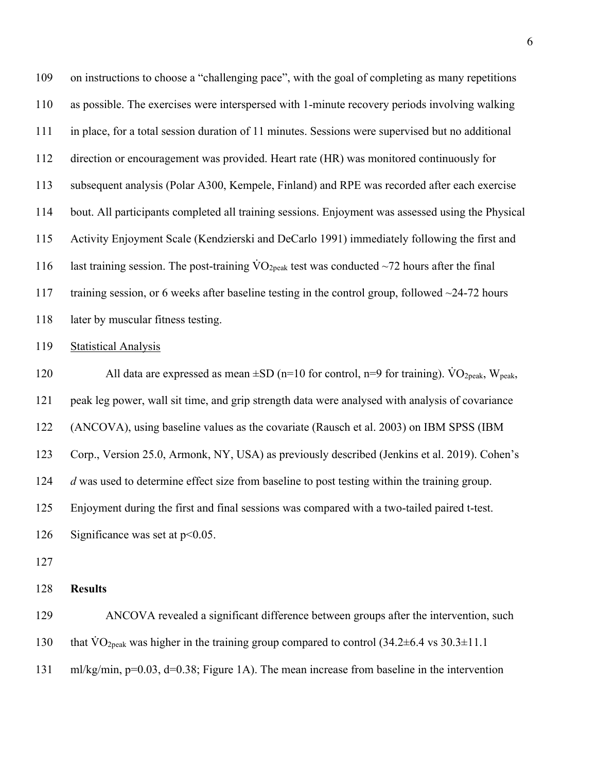| 109 | on instructions to choose a "challenging pace", with the goal of completing as many repetitions                         |
|-----|-------------------------------------------------------------------------------------------------------------------------|
| 110 | as possible. The exercises were interspersed with 1-minute recovery periods involving walking                           |
| 111 | in place, for a total session duration of 11 minutes. Sessions were supervised but no additional                        |
| 112 | direction or encouragement was provided. Heart rate (HR) was monitored continuously for                                 |
| 113 | subsequent analysis (Polar A300, Kempele, Finland) and RPE was recorded after each exercise                             |
| 114 | bout. All participants completed all training sessions. Enjoyment was assessed using the Physical                       |
| 115 | Activity Enjoyment Scale (Kendzierski and DeCarlo 1991) immediately following the first and                             |
| 116 | last training session. The post-training $\rm\dot{VO}_{2peak}$ test was conducted $\sim$ 72 hours after the final       |
| 117 | training session, or 6 weeks after baseline testing in the control group, followed $\sim$ 24-72 hours                   |
| 118 | later by muscular fitness testing.                                                                                      |
| 119 | <b>Statistical Analysis</b>                                                                                             |
| 120 | All data are expressed as mean $\pm SD$ (n=10 for control, n=9 for training). VO <sub>2peak</sub> , W <sub>peak</sub> , |
|     |                                                                                                                         |
| 121 | peak leg power, wall sit time, and grip strength data were analysed with analysis of covariance                         |
| 122 | (ANCOVA), using baseline values as the covariate (Rausch et al. 2003) on IBM SPSS (IBM                                  |
| 123 | Corp., Version 25.0, Armonk, NY, USA) as previously described (Jenkins et al. 2019). Cohen's                            |
| 124 | d was used to determine effect size from baseline to post testing within the training group.                            |
| 125 | Enjoyment during the first and final sessions was compared with a two-tailed paired t-test.                             |
| 126 | Significance was set at $p<0.05$ .                                                                                      |
| 127 |                                                                                                                         |
| 128 | <b>Results</b>                                                                                                          |
| 129 | ANCOVA revealed a significant difference between groups after the intervention, such                                    |

ml/kg/min, p=0.03, d=0.38; Figure 1A). The mean increase from baseline in the intervention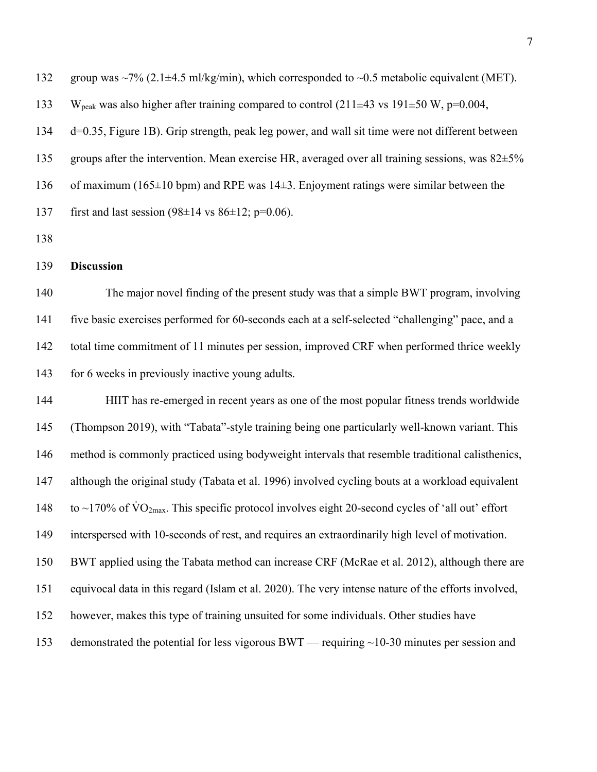132 group was  $\sim$ 7% (2.1 $\pm$ 4.5 ml/kg/min), which corresponded to  $\sim$ 0.5 metabolic equivalent (MET). 133 W<sub>peak</sub> was also higher after training compared to control (211 $\pm$ 43 vs 191 $\pm$ 50 W, p=0.004, d=0.35, Figure 1B). Grip strength, peak leg power, and wall sit time were not different between 135 groups after the intervention. Mean exercise HR, averaged over all training sessions, was  $82\pm5\%$  of maximum (165±10 bpm) and RPE was 14±3. Enjoyment ratings were similar between the 137 first and last session  $(98\pm14 \text{ vs } 86\pm12; \text{ p=0.06}).$ 

### **Discussion**

 The major novel finding of the present study was that a simple BWT program, involving five basic exercises performed for 60-seconds each at a self-selected "challenging" pace, and a total time commitment of 11 minutes per session, improved CRF when performed thrice weekly 143 for 6 weeks in previously inactive young adults.

 HIIT has re-emerged in recent years as one of the most popular fitness trends worldwide (Thompson 2019), with "Tabata"-style training being one particularly well-known variant. This method is commonly practiced using bodyweight intervals that resemble traditional calisthenics, although the original study (Tabata et al. 1996) involved cycling bouts at a workload equivalent 148 to ~170% of  $\text{VO}_{2\text{max}}$ . This specific protocol involves eight 20-second cycles of 'all out' effort interspersed with 10-seconds of rest, and requires an extraordinarily high level of motivation. BWT applied using the Tabata method can increase CRF (McRae et al. 2012), although there are equivocal data in this regard (Islam et al. 2020). The very intense nature of the efforts involved, however, makes this type of training unsuited for some individuals. Other studies have 153 demonstrated the potential for less vigorous BWT — requiring ~10-30 minutes per session and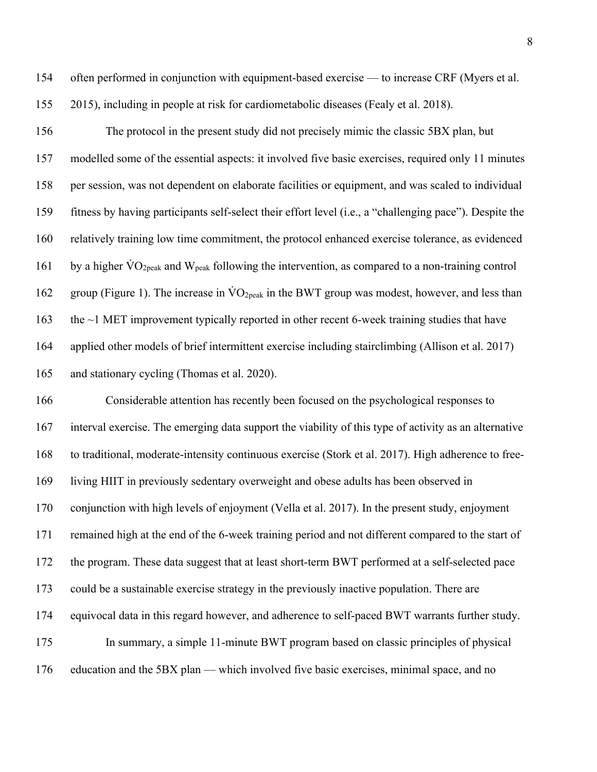- often performed in conjunction with equipment-based exercise to increase CRF (Myers et al.
- 2015), including in people at risk for cardiometabolic diseases (Fealy et al. 2018).

 The protocol in the present study did not precisely mimic the classic 5BX plan, but modelled some of the essential aspects: it involved five basic exercises, required only 11 minutes per session, was not dependent on elaborate facilities or equipment, and was scaled to individual fitness by having participants self-select their effort level (i.e., a "challenging pace"). Despite the relatively training low time commitment, the protocol enhanced exercise tolerance, as evidenced 161 by a higher  $\rm\dot{VO}_{2peak}$  and  $\rm\dot{W}_{peak}$  following the intervention, as compared to a non-training control 162 group (Figure 1). The increase in  $\text{VO}_{2\text{peak}}$  in the BWT group was modest, however, and less than 163 the ~1 MET improvement typically reported in other recent 6-week training studies that have applied other models of brief intermittent exercise including stairclimbing (Allison et al. 2017) and stationary cycling (Thomas et al. 2020).

 Considerable attention has recently been focused on the psychological responses to interval exercise. The emerging data support the viability of this type of activity as an alternative to traditional, moderate-intensity continuous exercise (Stork et al. 2017). High adherence to free- living HIIT in previously sedentary overweight and obese adults has been observed in conjunction with high levels of enjoyment (Vella et al. 2017). In the present study, enjoyment remained high at the end of the 6-week training period and not different compared to the start of the program. These data suggest that at least short-term BWT performed at a self-selected pace could be a sustainable exercise strategy in the previously inactive population. There are equivocal data in this regard however, and adherence to self-paced BWT warrants further study. In summary, a simple 11-minute BWT program based on classic principles of physical education and the 5BX plan — which involved five basic exercises, minimal space, and no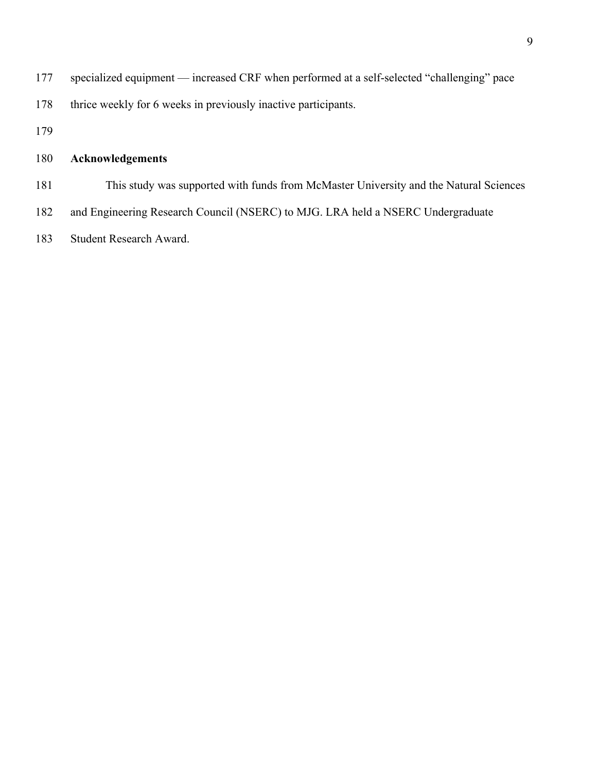- 177 specialized equipment increased CRF when performed at a self-selected "challenging" pace
- 178 thrice weekly for 6 weeks in previously inactive participants.
- 

# **Acknowledgements**

- This study was supported with funds from McMaster University and the Natural Sciences
- and Engineering Research Council (NSERC) to MJG. LRA held a NSERC Undergraduate
- Student Research Award.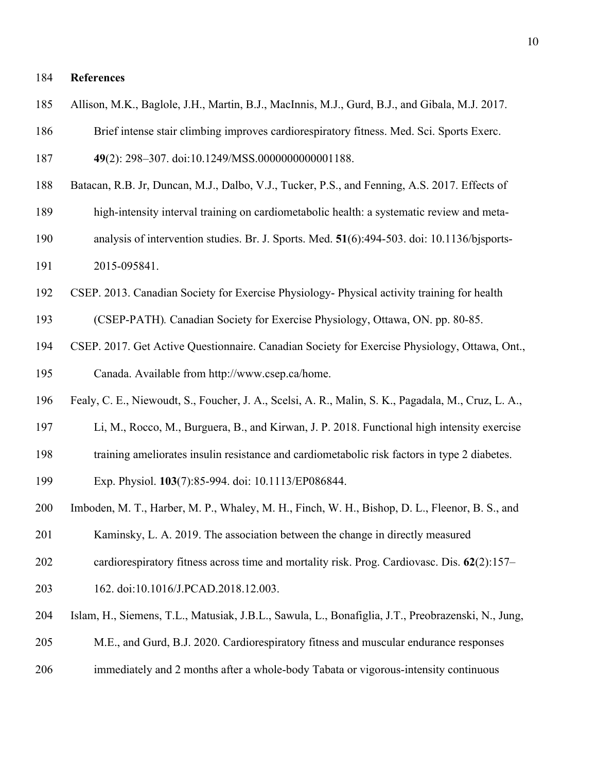### **References**

- Allison, M.K., Baglole, J.H., Martin, B.J., MacInnis, M.J., Gurd, B.J., and Gibala, M.J. 2017.
- Brief intense stair climbing improves cardiorespiratory fitness. Med. Sci. Sports Exerc.

```
187 49(2): 298–307. doi:10.1249/MSS.0000000000001188.
```
- Batacan, R.B. Jr, Duncan, M.J., Dalbo, V.J., Tucker, P.S., and Fenning, A.S. 2017. Effects of
- high-intensity interval training on cardiometabolic health: a systematic review and meta-
- analysis of intervention studies. Br. J. Sports. Med. **51**(6):494-503. doi: 10.1136/bjsports-2015-095841.
- CSEP. 2013. Canadian Society for Exercise Physiology- Physical activity training for health
- (CSEP-PATH)*.* Canadian Society for Exercise Physiology, Ottawa, ON. pp. 80-85.
- CSEP. 2017. Get Active Questionnaire. Canadian Society for Exercise Physiology, Ottawa, Ont., Canada. Available from http://www.csep.ca/home.
- Fealy, C. E., Niewoudt, S., Foucher, J. A., Scelsi, A. R., Malin, S. K., Pagadala, M., Cruz, L. A.,
- Li, M., Rocco, M., Burguera, B., and Kirwan, J. P. 2018. Functional high intensity exercise
- training ameliorates insulin resistance and cardiometabolic risk factors in type 2 diabetes.

Exp. Physiol. **103**(7):85-994. doi: 10.1113/EP086844.

- Imboden, M. T., Harber, M. P., Whaley, M. H., Finch, W. H., Bishop, D. L., Fleenor, B. S., and
- Kaminsky, L. A. 2019. The association between the change in directly measured
- cardiorespiratory fitness across time and mortality risk. Prog. Cardiovasc. Dis. **62**(2):157–
- 162. doi:10.1016/J.PCAD.2018.12.003.
- Islam, H., Siemens, T.L., Matusiak, J.B.L., Sawula, L., Bonafiglia, J.T., Preobrazenski, N., Jung,
- M.E., and Gurd, B.J. 2020. Cardiorespiratory fitness and muscular endurance responses
- immediately and 2 months after a whole-body Tabata or vigorous-intensity continuous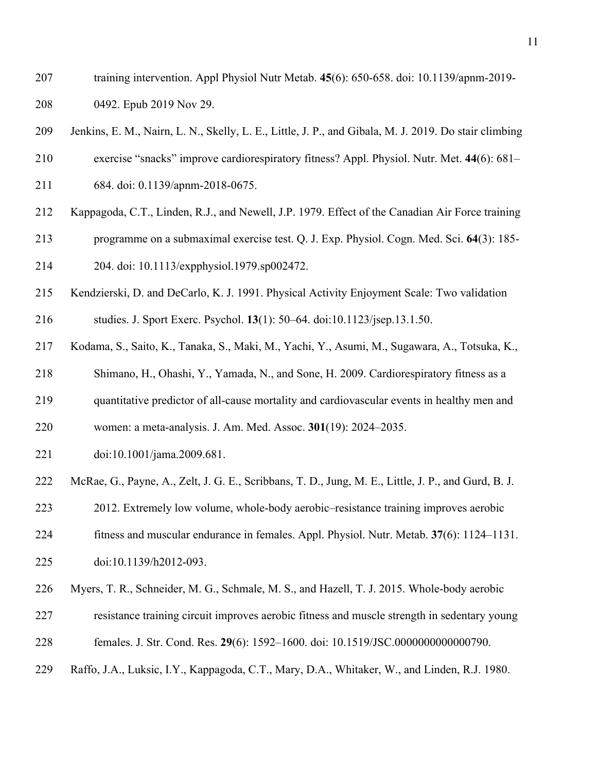- training intervention. Appl Physiol Nutr Metab. **45**(6): 650-658. doi: 10.1139/apnm-2019- 0492. Epub 2019 Nov 29.
- Jenkins, E. M., Nairn, L. N., Skelly, L. E., Little, J. P., and Gibala, M. J. 2019. Do stair climbing
- exercise "snacks" improve cardiorespiratory fitness? Appl. Physiol. Nutr. Met. **44**(6): 681–
- 684. doi: 0.1139/apnm-2018-0675.
- Kappagoda, C.T., Linden, R.J., and Newell, J.P. 1979. Effect of the Canadian Air Force training
- programme on a submaximal exercise test. Q. J. Exp. Physiol. Cogn. Med. Sci. **64**(3): 185- 204. doi: 10.1113/expphysiol.1979.sp002472.
- Kendzierski, D. and DeCarlo, K. J. 1991. Physical Activity Enjoyment Scale: Two validation
- studies. J. Sport Exerc. Psychol. **13**(1): 50–64. doi:10.1123/jsep.13.1.50.
- Kodama, S., Saito, K., Tanaka, S., Maki, M., Yachi, Y., Asumi, M., Sugawara, A., Totsuka, K.,
- Shimano, H., Ohashi, Y., Yamada, N., and Sone, H. 2009. Cardiorespiratory fitness as a
- quantitative predictor of all-cause mortality and cardiovascular events in healthy men and
- women: a meta-analysis. J. Am. Med. Assoc. **301**(19): 2024–2035.
- doi:10.1001/jama.2009.681.
- McRae, G., Payne, A., Zelt, J. G. E., Scribbans, T. D., Jung, M. E., Little, J. P., and Gurd, B. J.
- 2012. Extremely low volume, whole-body aerobic–resistance training improves aerobic
- fitness and muscular endurance in females. Appl. Physiol. Nutr. Metab. **37**(6): 1124–1131.
- doi:10.1139/h2012-093.
- Myers, T. R., Schneider, M. G., Schmale, M. S., and Hazell, T. J. 2015. Whole-body aerobic
- resistance training circuit improves aerobic fitness and muscle strength in sedentary young
- females. J. Str. Cond. Res. **29**(6): 1592–1600. doi: 10.1519/JSC.0000000000000790.
- Raffo, J.A., Luksic, I.Y., Kappagoda, C.T., Mary, D.A., Whitaker, W., and Linden, R.J. 1980.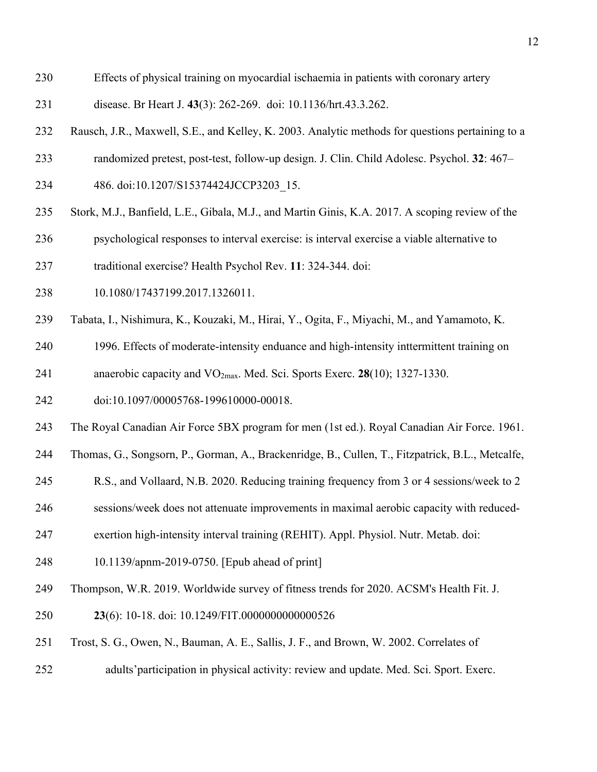- Effects of physical training on myocardial ischaemia in patients with coronary artery
- disease. Br Heart J. **43**(3): 262-269. doi: 10.1136/hrt.43.3.262.
- Rausch, J.R., Maxwell, S.E., and Kelley, K. 2003. Analytic methods for questions pertaining to a
- randomized pretest, post-test, follow-up design. J. Clin. Child Adolesc. Psychol. **32**: 467–
- 234 486. doi:10.1207/S15374424JCCP3203 15.
- Stork, M.J., Banfield, L.E., Gibala, M.J., and Martin Ginis, K.A. 2017. A scoping review of the
- psychological responses to interval exercise: is interval exercise a viable alternative to
- traditional exercise? Health Psychol Rev. **11**: 324-344. doi:
- 10.1080/17437199.2017.1326011.
- Tabata, I., Nishimura, K., Kouzaki, M., Hirai, Y., Ogita, F., Miyachi, M., and Yamamoto, K.
- 1996. Effects of moderate-intensity enduance and high-intensity inttermittent training on anaerobic capacity and VO2max. Med. Sci. Sports Exerc. **28**(10); 1327-1330.
- doi:10.1097/00005768-199610000-00018.
- The Royal Canadian Air Force 5BX program for men (1st ed.). Royal Canadian Air Force. 1961.
- Thomas, G., Songsorn, P., Gorman, A., Brackenridge, B., Cullen, T., Fitzpatrick, B.L., Metcalfe,
- R.S., and Vollaard, N.B. 2020. Reducing training frequency from 3 or 4 sessions/week to 2
- sessions/week does not attenuate improvements in maximal aerobic capacity with reduced-
- exertion high-intensity interval training (REHIT). Appl. Physiol. Nutr. Metab. doi:
- 10.1139/apnm-2019-0750. [Epub ahead of print]
- Thompson, W.R. 2019. Worldwide survey of fitness trends for 2020. ACSM's Health Fit. J.
- **23**(6): 10-18. doi: 10.1249/FIT.0000000000000526
- Trost, S. G., Owen, N., Bauman, A. E., Sallis, J. F., and Brown, W. 2002. Correlates of
- adults'participation in physical activity: review and update. Med. Sci. Sport. Exerc.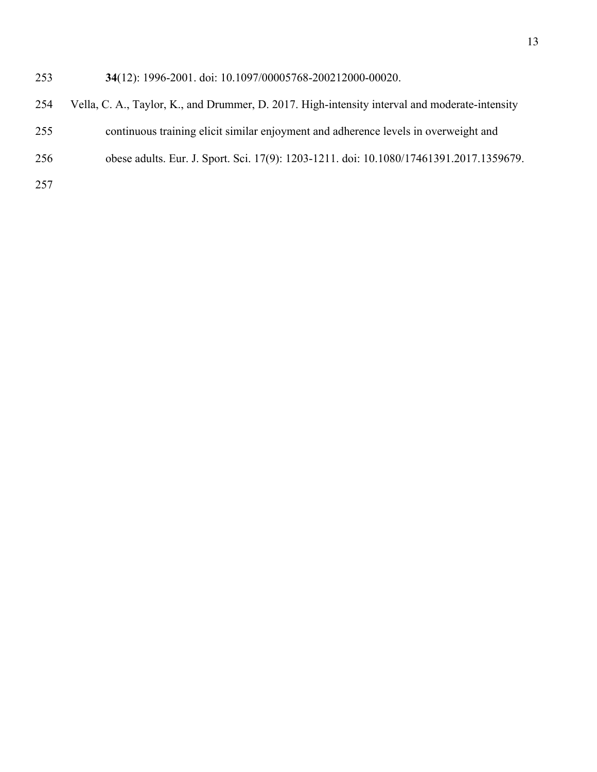# **34**(12): 1996-2001. doi: 10.1097/00005768-200212000-00020.

- Vella, C. A., Taylor, K., and Drummer, D. 2017. High-intensity interval and moderate-intensity
- continuous training elicit similar enjoyment and adherence levels in overweight and
- obese adults. Eur. J. Sport. Sci. 17(9): 1203-1211. doi: 10.1080/17461391.2017.1359679.